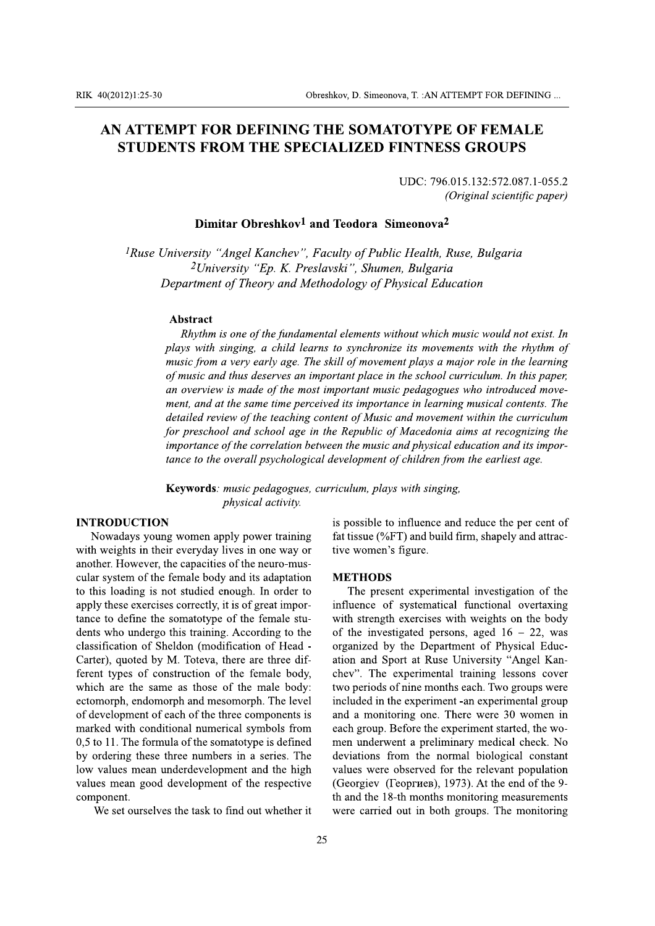# AN ATTEMPT FOR DEFINING THE SOMATOTYPE OF FEMALE **STUDENTS FROM THE SPECIALIZED FINTNESS GROUPS**

UDC: 796.015.132:572.087.1-055.2 (Original scientific paper)

## Dimitar Obreshkov<sup>1</sup> and Teodora Simeonova<sup>2</sup>

<sup>1</sup>Ruse University "Angel Kanchev", Faculty of Public Health, Ruse, Bulgaria <sup>2</sup>University "Ep. K. Preslavski", Shumen, Bulgaria Department of Theory and Methodology of Physical Education

#### Abstract

Rhythm is one of the fundamental elements without which music would not exist. In plays with singing, a child learns to synchronize its movements with the rhythm of music from a very early age. The skill of movement plays a major role in the learning of music and thus deserves an important place in the school curriculum. In this paper, an overview is made of the most important music pedagogues who introduced movement, and at the same time perceived its importance in learning musical contents. The detailed review of the teaching content of Music and movement within the curriculum for preschool and school age in the Republic of Macedonia aims at recognizing the importance of the correlation between the music and physical education and its importance to the overall psychological development of children from the earliest age.

Keywords: music pedagogues, curriculum, plays with singing, physical activity.

## **INTRODUCTION**

Nowadays young women apply power training with weights in their everyday lives in one way or another. However, the capacities of the neuro-muscular system of the female body and its adaptation to this loading is not studied enough. In order to apply these exercises correctly, it is of great importance to define the somatotype of the female students who undergo this training. According to the classification of Sheldon (modification of Head -Carter), quoted by M. Toteva, there are three different types of construction of the female body, which are the same as those of the male body: ectomorph, endomorph and mesomorph. The level of development of each of the three components is marked with conditional numerical symbols from 0,5 to 11. The formula of the somatotype is defined by ordering these three numbers in a series. The low values mean underdevelopment and the high values mean good development of the respective component.

We set ourselves the task to find out whether it

is possible to influence and reduce the per cent of fat tissue (%FT) and build firm, shapely and attractive women's figure.

#### **METHODS**

The present experimental investigation of the influence of systematical functional overtaxing with strength exercises with weights on the body of the investigated persons, aged  $16 - 22$ , was organized by the Department of Physical Education and Sport at Ruse University "Angel Kanchev". The experimental training lessons cover two periods of nine months each. Two groups were included in the experiment -an experimental group and a monitoring one. There were 30 women in each group. Before the experiment started, the women underwent a preliminary medical check. No deviations from the normal biological constant values were observed for the relevant population (Georgiev (Георгиев), 1973). At the end of the 9th and the 18-th months monitoring measurements were carried out in both groups. The monitoring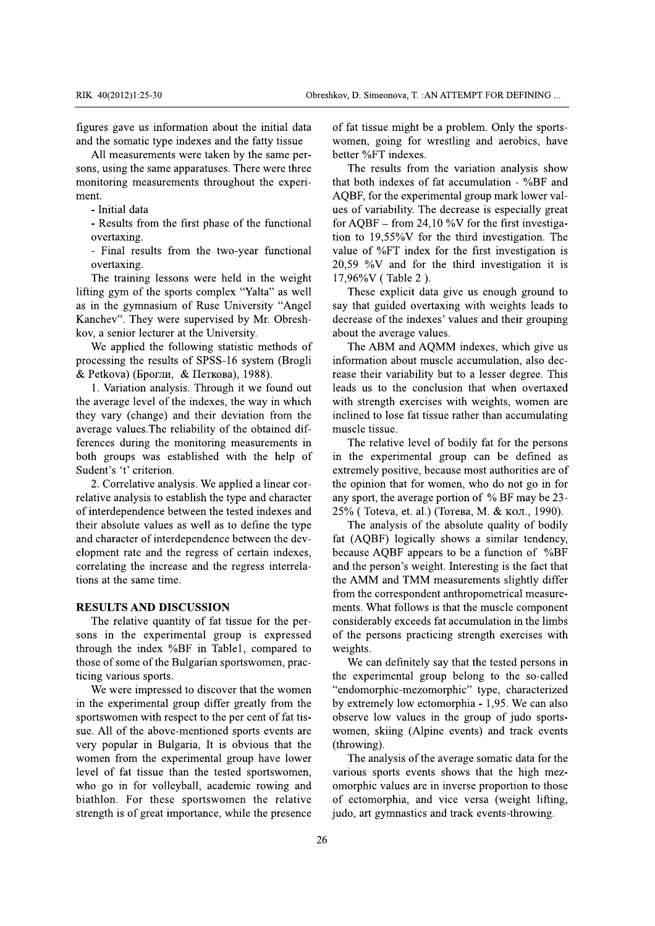figures gave us information about the initial data and the somatic type indexes and the fatty tissue

All measurements were taken by the same persons, using the same apparatuses. There were three monitoring measurements throughout the experiment

- Initial data

- Results from the first phase of the functional overtaxing.

- Final results from the two-year functional overtaxing.

The training lessons were held in the weight lifting gym of the sports complex "Yalta" as well as in the gymnasium of Ruse University "Angel Kanchev". They were supervised by Mr. Obreshkov, a senior lecturer at the University.

We applied the following statistic methods of processing the results of SPSS-16 system (Brogli & Petkova) (Брогли, & Петкова), 1988).

1. Variation analysis. Through it we found out the average level of the indexes, the way in which they vary (change) and their deviation from the average values. The reliability of the obtained differences during the monitoring measurements in both groups was established with the help of Sudent's 't' criterion.

2. Correlative analysis. We applied a linear correlative analysis to establish the type and character of interdependence between the tested indexes and their absolute values as well as to define the type and character of interdependence between the development rate and the regress of certain indexes, correlating the increase and the regress interrelations at the same time.

## **RESULTS AND DISCUSSION**

The relative quantity of fat tissue for the persons in the experimental group is expressed through the index %BF in Table1, compared to those of some of the Bulgarian sportswomen, practicing various sports.

We were impressed to discover that the women in the experimental group differ greatly from the sportswomen with respect to the per cent of fat tissue. All of the above-mentioned sports events are very popular in Bulgaria, It is obvious that the women from the experimental group have lower level of fat tissue than the tested sportswomen, who go in for volleyball, academic rowing and biathlon. For these sportswomen the relative strength is of great importance, while the presence of fat tissue might be a problem. Only the sportswomen, going for wrestling and aerobics, have better %FT indexes.

The results from the variation analysis show that both indexes of fat accumulation  $-$  %BF and AQBF, for the experimental group mark lower values of variability. The decrease is especially great for AQBF – from 24,10 %V for the first investigation to  $19,55\%$  Tor the third investigation. The value of %FT index for the first investigation is 20,59 % and for the third investigation it is 17,96%V (Table 2).

These explicit data give us enough ground to say that guided overtaxing with weights leads to decrease of the indexes' values and their grouping about the average values.

The ABM and AQMM indexes, which give us information about muscle accumulation, also decrease their variability but to a lesser degree. This leads us to the conclusion that when overtaxed with strength exercises with weights, women are inclined to lose fat tissue rather than accumulating muscle tissue.

The relative level of bodily fat for the persons in the experimental group can be defined as extremely positive, because most authorities are of the opinion that for women, who do not go in for any sport, the average portion of % BF may be 23-25% (Toteva, et. al.) (Тотева, М. & кол., 1990).

The analysis of the absolute quality of bodily fat (AQBF) logically shows a similar tendency, because AQBF appears to be a function of %BF and the person's weight. Interesting is the fact that the AMM and TMM measurements slightly differ from the correspondent anthropometrical measurements. What follows is that the muscle component considerably exceeds fat accumulation in the limbs of the persons practicing strength exercises with weights.

We can definitely say that the tested persons in the experimental group belong to the so-called "endomorphic-mezomorphic" type, characterized by extremely low ectomorphia - 1,95. We can also observe low values in the group of judo sportswomen, skiing (Alpine events) and track events (throwing).

The analysis of the average somatic data for the various sports events shows that the high mezomorphic values are in inverse proportion to those of ectomorphia, and vice versa (weight lifting, judo, art gymnastics and track events-throwing.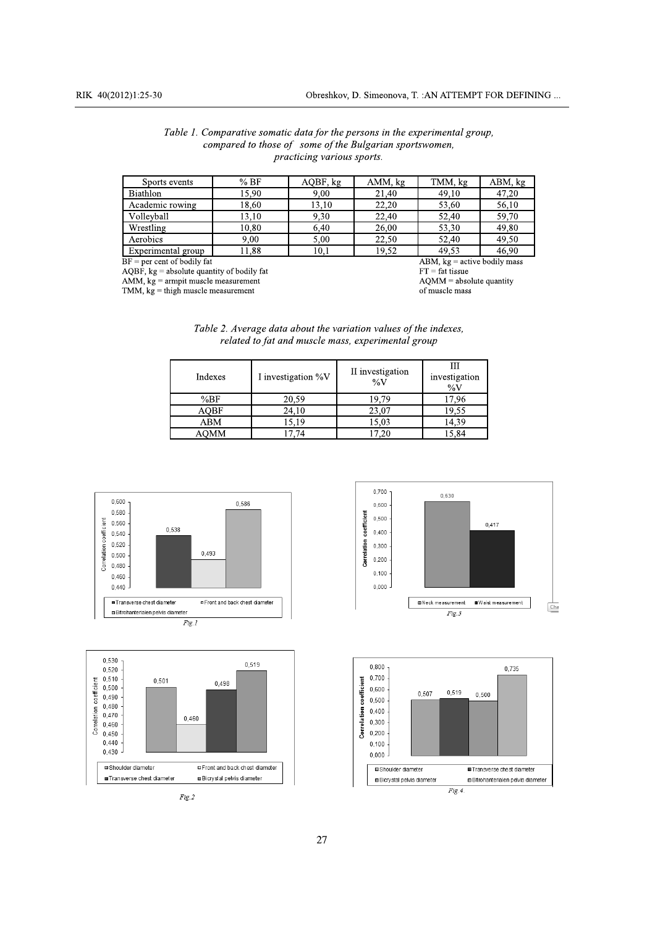|                                   | Table 1. Comparative somatic data for the persons in the experimental group, |  |  |  |
|-----------------------------------|------------------------------------------------------------------------------|--|--|--|
|                                   | compared to those of some of the Bulgarian sportswomen,                      |  |  |  |
| <i>practicing various sports.</i> |                                                                              |  |  |  |

| Sports events                                                      | %BF   | AQBF, kg | AMM, kg | TMM, kg | ABM, kg |
|--------------------------------------------------------------------|-------|----------|---------|---------|---------|
| <b>Biathlon</b>                                                    | 15.90 | 9,00     | 21.40   | 49,10   | 47,20   |
| Academic rowing                                                    | 18,60 | 13.10    | 22,20   | 53,60   | 56,10   |
| Volleyball                                                         | 13.10 | 9.30     | 22.40   | 52,40   | 59.70   |
| Wrestling                                                          | 10,80 | 6,40     | 26.00   | 53,30   | 49.80   |
| Aerobics                                                           | 9.00  | 5.00     | 22.50   | 52.40   | 49.50   |
| Experimental group                                                 | 11.88 | 10,1     | 19,52   | 49.53   | 46.90   |
| $BF = per cent of bodily fat$<br>$ABM$ , $kg =$ active bodily mass |       |          |         |         |         |

 $AQBF$ , kg = absolute quantity of bodily fat

 $AMM$ ,  $kg =$  and  $m$  muscle measurement<br>TMM,  $kg =$  thigh muscle measurement

 $FT = fat$  tissue AQMM = absolute quantity of muscle mass

| Table 2. Average data about the variation values of the indexes, |  |
|------------------------------------------------------------------|--|
| related to fat and muscle mass, experimental group               |  |

| Indexes     | I investigation %V | II investigation<br>$\%V$ | Ш<br>investigation<br>$\%V$ |
|-------------|--------------------|---------------------------|-----------------------------|
| %BF         | 20,59              | 19.79                     | 17,96                       |
| <b>AOBF</b> | 24,10              | 23,07                     | 19,55                       |
| ABM         | 15.19              | 15.03                     | 14.39                       |
| AOMM        | .74                | '.20                      | 5.84                        |









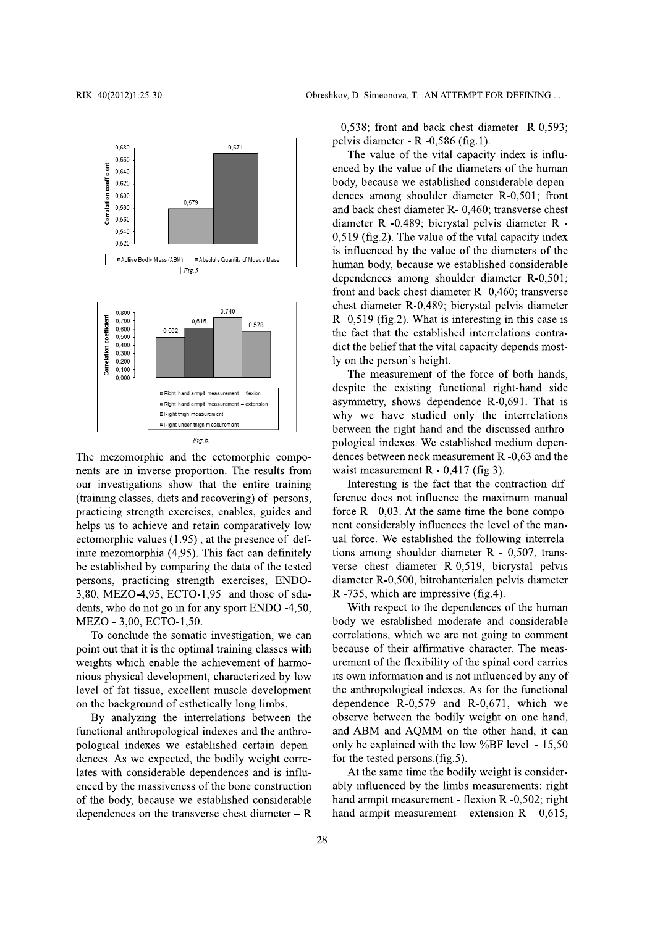

The mezomorphic and the ectomorphic components are in inverse proportion. The results from our investigations show that the entire training (training classes, diets and recovering) of persons, practicing strength exercises, enables, guides and helps us to achieve and retain comparatively low ectomorphic values  $(1.95)$ , at the presence of definite mezomorphia (4,95). This fact can definitely be established by comparing the data of the tested

persons, practicing strength exercises, ENDO-

3,80, MEZO-4,95, ECTO-1,95 and those of sdu-

dents, who do not go in for any sport ENDO -4,50, MEZO - 3,00, ECTO-1,50.

To conclude the somatic investigation, we can point out that it is the optimal training classes with weights which enable the achievement of harmonious physical development, characterized by low level of fat tissue, excellent muscle development on the background of esthetically long limbs.

By analyzing the interrelations between the functional anthropological indexes and the anthropological indexes we established certain dependences. As we expected, the bodily weight correlates with considerable dependences and is influenced by the massiveness of the bone construction of the body, because we established considerable dependences on the transverse chest diameter  $-$  R

- 0,538; front and back chest diameter -R-0,593; pelvis diameter - R  $-0,586$  (fig.1).

The value of the vital capacity index is influenced by the value of the diameters of the human body, because we established considerable dependences among shoulder diameter R-0,501; front and back chest diameter R- 0,460; transverse chest diameter R -0,489; bicrystal pelvis diameter R - $0,519$  (fig.2). The value of the vital capacity index is influenced by the value of the diameters of the human body, because we established considerable dependences among shoulder diameter R-0,501; front and back chest diameter R- 0,460; transverse chest diameter R-0,489; bicrystal pelvis diameter R- 0,519 (fig.2). What is interesting in this case is the fact that the established interrelations contradict the belief that the vital capacity depends mostly on the person's height.

The measurement of the force of both hands, despite the existing functional right-hand side asymmetry, shows dependence R-0,691. That is why we have studied only the interrelations between the right hand and the discussed anthropological indexes. We established medium dependences between neck measurement R -0,63 and the waist measurement R -  $0,417$  (fig.3).

Interesting is the fact that the contraction difference does not influence the maximum manual force  $R - 0.03$ . At the same time the bone component considerably influences the level of the manual force. We established the following interrelations among shoulder diameter  $R - 0.507$ , transverse chest diameter R-0,519, bicrystal pelvis diameter R-0,500, bitrohanterialen pelvis diameter R -735, which are impressive (fig.4).

With respect to the dependences of the human body we established moderate and considerable correlations, which we are not going to comment because of their affirmative character. The measurement of the flexibility of the spinal cord carries its own information and is not influenced by any of the anthropological indexes. As for the functional dependence  $R-0,579$  and  $R-0,671$ , which we observe between the bodily weight on one hand, and ABM and AQMM on the other hand, it can only be explained with the low %BF level - 15,50 for the tested persons.(fig.5).

At the same time the bodily weight is considerably influenced by the limbs measurements: right hand armpit measurement - flexion R -0,502; right hand armpit measurement - extension  $R - 0.615$ ,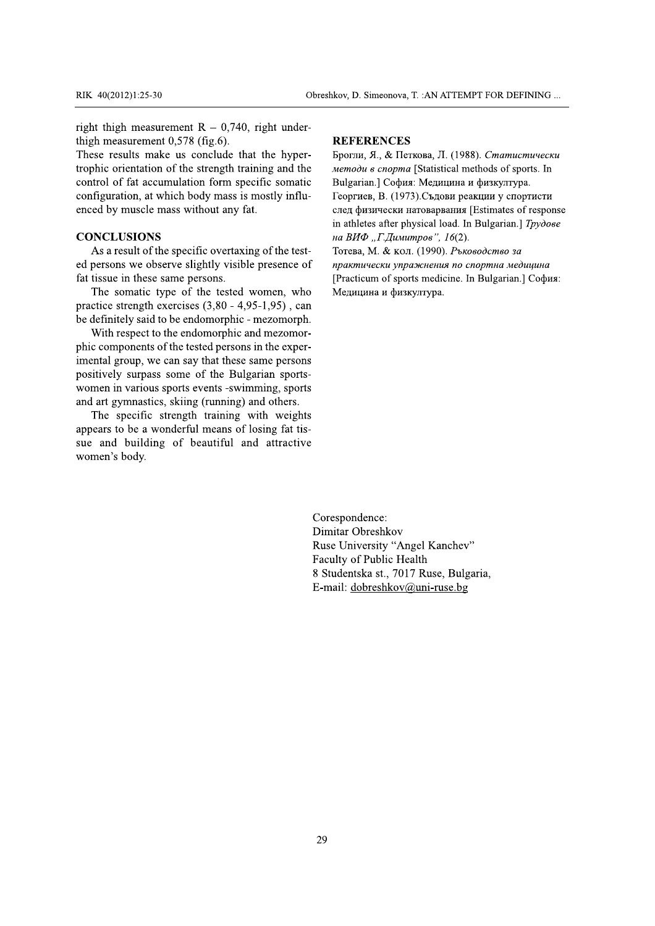right thigh measurement  $R - 0,740$ , right underthigh measurement  $0,578$  (fig.6).

These results make us conclude that the hypertrophic orientation of the strength training and the control of fat accumulation form specific somatic configuration, at which body mass is mostly influenced by muscle mass without any fat.

## **CONCLUSIONS**

As a result of the specific overtaxing of the tested persons we observe slightly visible presence of fat tissue in these same persons.

The somatic type of the tested women, who practice strength exercises  $(3,80 - 4,95 - 1,95)$ , can be definitely said to be endomorphic - mezomorph.

With respect to the endomorphic and mezomorphic components of the tested persons in the experimental group, we can say that these same persons positively surpass some of the Bulgarian sportswomen in various sports events -swimming, sports and art gymnastics, skiing (running) and others.

The specific strength training with weights appears to be a wonderful means of losing fat tissue and building of beautiful and attractive women's body.

#### **REFERENCES**

Брогли, Я., & Петкова, Л. (1988). Статистически методи в спорта [Statistical methods of sports. In Bulgarian.] София: Медицина и физкултура. Георгиев, В. (1973). Съдови реакции у спортисти след физически натоварвания [Estimates of response in athletes after physical load. In Bulgarian.] Tpydose на ВИФ "Г.Димитров", 16(2).

Тотева, М. & кол. (1990). Ръководство за практически упражнения по спортна медицина [Practicum of sports medicine. In Bulgarian.] София: Медицина и физкултура.

Corespondence: Dimitar Obreshkov Ruse University "Angel Kanchev" Faculty of Public Health 8 Studentska st., 7017 Ruse, Bulgaria, E-mail: dobreshkov@uni-ruse.bg